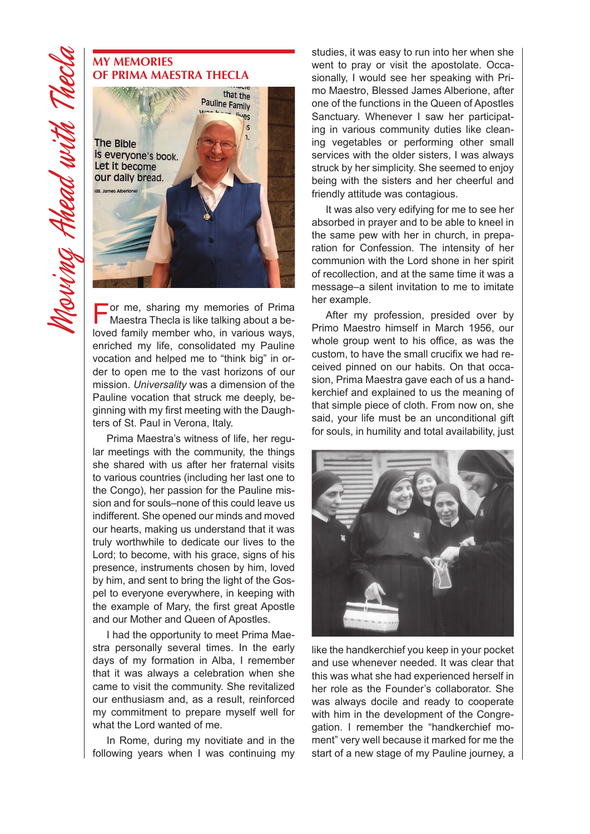## **My Memories of Prima Maestra Thecla**



For me, sharing my memories of Prima<br>
Maestra Thecla is like talking about a beloved family member who, in various ways, enriched my life, consolidated my Pauline vocation and helped me to "think big" in order to open me to the vast horizons of our mission. *Universality* was a dimension of the Pauline vocation that struck me deeply, beginning with my first meeting with the Daughters of St. Paul in Verona, Italy.

Prima Maestra's witness of life, her regular meetings with the community, the things she shared with us after her fraternal visits to various countries (including her last one to the Congo), her passion for the Pauline mission and for souls–none of this could leave us indifferent. She opened our minds and moved our hearts, making us understand that it was truly worthwhile to dedicate our lives to the Lord; to become, with his grace, signs of his presence, instruments chosen by him, loved by him, and sent to bring the light of the Gospel to everyone everywhere, in keeping with the example of Mary, the first great Apostle and our Mother and Queen of Apostles.

I had the opportunity to meet Prima Maestra personally several times. In the early days of my formation in Alba, I remember that it was always a celebration when she came to visit the community. She revitalized our enthusiasm and, as a result, reinforced my commitment to prepare myself well for what the Lord wanted of me.

In Rome, during my novitiate and in the following years when I was continuing my studies, it was easy to run into her when she went to pray or visit the apostolate. Occasionally, I would see her speaking with Primo Maestro, Blessed James Alberione, after one of the functions in the Queen of Apostles Sanctuary. Whenever I saw her participating in various community duties like cleaning vegetables or performing other small services with the older sisters, I was always struck by her simplicity. She seemed to enjoy being with the sisters and her cheerful and friendly attitude was contagious.

It was also very edifying for me to see her absorbed in prayer and to be able to kneel in the same pew with her in church, in preparation for Confession. The intensity of her communion with the Lord shone in her spirit of recollection, and at the same time it was a message–a silent invitation to me to imitate her example.

After my profession, presided over by Primo Maestro himself in March 1956, our whole group went to his office, as was the custom, to have the small crucifix we had received pinned on our habits. On that occasion, Prima Maestra gave each of us a handkerchief and explained to us the meaning of that simple piece of cloth. From now on, she said, your life must be an unconditional gift for souls, in humility and total availability, just



like the handkerchief you keep in your pocket and use whenever needed. It was clear that this was what she had experienced herself in her role as the Founder's collaborator. She was always docile and ready to cooperate with him in the development of the Congregation. I remember the "handkerchief moment" very well because it marked for me the start of a new stage of my Pauline journey, a